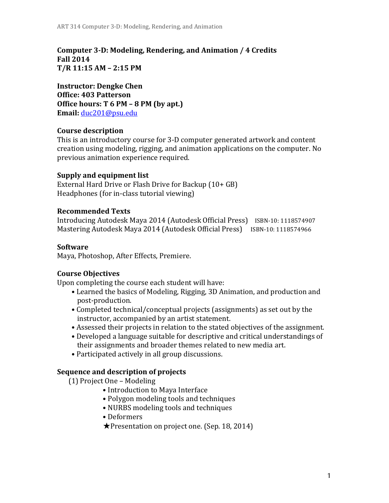**Computer 3-D: Modeling, Rendering, and Animation / 4 Credits Fall 2014 T/R 11:15 AM – 2:15 PM** 

**Instructor: Dengke Chen Office: 403 Patterson Office hours: T 6 PM – 8 PM (by apt.) Email:** duc201@psu.edu

### **Course description**

This is an introductory course for 3-D computer generated artwork and content creation using modeling, rigging, and animation applications on the computer. No previous animation experience required.

#### **Supply and equipment list**

External Hard Drive or Flash Drive for Backup  $(10 + GB)$ Headphones (for in-class tutorial viewing)

#### **Recommended Texts**

Introducing Autodesk Maya 2014 (Autodesk Official Press) ISBN-10: 1118574907 Mastering Autodesk Maya 2014 (Autodesk Official Press) ISBN-10: 1118574966

#### **Software**

Maya, Photoshop, After Effects, Premiere.

### **Course Objectives**

Upon completing the course each student will have:

- Learned the basics of Modeling, Rigging, 3D Animation, and production and post-production.
- Completed technical/conceptual projects (assignments) as set out by the instructor, accompanied by an artist statement.
- Assessed their projects in relation to the stated objectives of the assignment.
- Developed a language suitable for descriptive and critical understandings of their assignments and broader themes related to new media art.
- Participated actively in all group discussions.

#### **Sequence and description of projects**

(1) Project One - Modeling

- Introduction to Maya Interface
- Polygon modeling tools and techniques
- NURBS modeling tools and techniques
- Deformers
- $\bigstar$ Presentation on project one. (Sep. 18, 2014)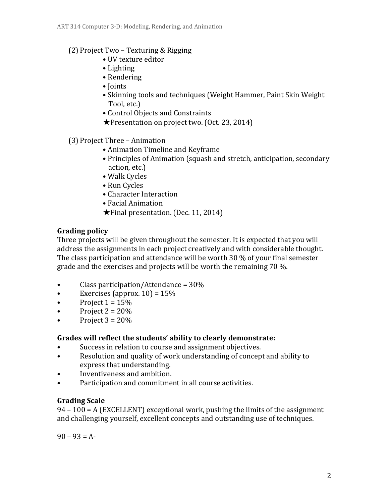## $(2)$  Project Two – Texturing & Rigging

- UV texture editor
- Lighting
- Rendering
- Joints
- Skinning tools and techniques (Weight Hammer, Paint Skin Weight Tool, etc.)
- Control Objects and Constraints
- $\bigstar$ Presentation on project two. (Oct. 23, 2014)
- (3) Project Three Animation
	- Animation Timeline and Keyframe
	- Principles of Animation (squash and stretch, anticipation, secondary action, etc.)
	- Walk Cycles
	- Run Cycles
	- Character Interaction
	- Facial Animation
	- $\bigstar$  Final presentation. (Dec. 11, 2014)

## **Grading policy**

Three projects will be given throughout the semester. It is expected that you will address the assignments in each project creatively and with considerable thought. The class participation and attendance will be worth 30  $%$  of your final semester grade and the exercises and projects will be worth the remaining  $70\%$ .

- Class participation/Attendance =  $30\%$
- Exercises (approx.  $10$ ) =  $15\%$
- Project  $1 = 15%$
- Project  $2 = 20\%$
- Project  $3 = 20%$

## Grades will reflect the students' ability to clearly demonstrate:

- Success in relation to course and assignment objectives.
- Resolution and quality of work understanding of concept and ability to express that understanding.
- Inventiveness and ambition.
- Participation and commitment in all course activities.

## **Grading Scale**

 $94 - 100 = A$  (EXCELLENT) exceptional work, pushing the limits of the assignment and challenging yourself, excellent concepts and outstanding use of techniques.

 $90 - 93 = A$ -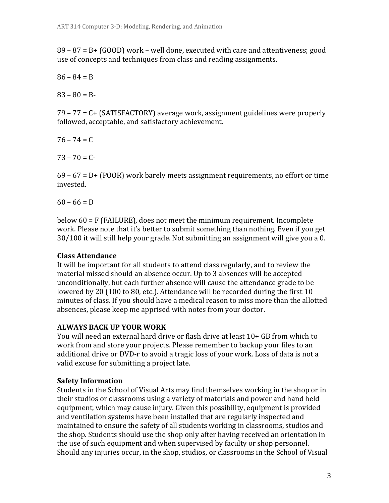$89 - 87 = B + (GOOD)$  work – well done, executed with care and attentiveness; good use of concepts and techniques from class and reading assignments.

 $86 - 84 = B$ 

 $83 - 80 = B$ 

 $79 - 77 = C + (SATISFACTORY)$  average work, assignment guidelines were properly followed, acceptable, and satisfactory achievement.

 $76 - 74 = C$ 

 $73 - 70 = C$ 

 $69 - 67 = D + (POOR)$  work barely meets assignment requirements, no effort or time invested.

 $60 - 66 = D$ 

below  $60 = F$  (FAILURE), does not meet the minimum requirement. Incomplete work. Please note that it's better to submit something than nothing. Even if you get  $30/100$  it will still help your grade. Not submitting an assignment will give you a 0.

## **Class Attendance**

It will be important for all students to attend class regularly, and to review the material missed should an absence occur. Up to 3 absences will be accepted unconditionally, but each further absence will cause the attendance grade to be lowered by 20 (100 to 80, etc.). Attendance will be recorded during the first  $10$ minutes of class. If you should have a medical reason to miss more than the allotted absences, please keep me apprised with notes from your doctor.

## **ALWAYS BACK UP YOUR WORK**

You will need an external hard drive or flash drive at least 10+ GB from which to work from and store your projects. Please remember to backup your files to an additional drive or DVD-r to avoid a tragic loss of your work. Loss of data is not a valid excuse for submitting a project late.

## **Safety Information**

Students in the School of Visual Arts may find themselves working in the shop or in their studios or classrooms using a variety of materials and power and hand held equipment, which may cause injury. Given this possibility, equipment is provided and ventilation systems have been installed that are regularly inspected and maintained to ensure the safety of all students working in classrooms, studios and the shop. Students should use the shop only after having received an orientation in the use of such equipment and when supervised by faculty or shop personnel. Should any injuries occur, in the shop, studios, or classrooms in the School of Visual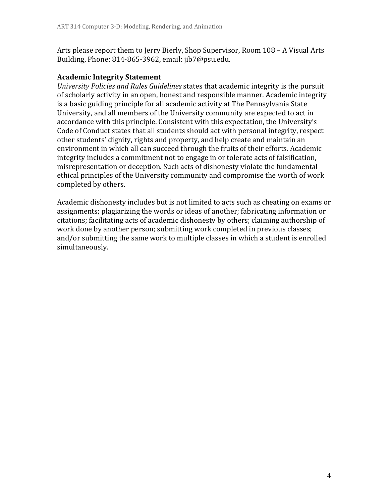Arts please report them to Jerry Bierly, Shop Supervisor, Room 108 – A Visual Arts Building, Phone:  $814-865-3962$ , email: jib7@psu.edu.

### **Academic Integrity Statement**

*University Policies and Rules Guidelines* states that academic integrity is the pursuit of scholarly activity in an open, honest and responsible manner. Academic integrity is a basic guiding principle for all academic activity at The Pennsylvania State University, and all members of the University community are expected to act in accordance with this principle. Consistent with this expectation, the University's Code of Conduct states that all students should act with personal integrity, respect other students' dignity, rights and property, and help create and maintain an environment in which all can succeed through the fruits of their efforts. Academic integrity includes a commitment not to engage in or tolerate acts of falsification, misrepresentation or deception. Such acts of dishonesty violate the fundamental ethical principles of the University community and compromise the worth of work completed by others.

Academic dishonesty includes but is not limited to acts such as cheating on exams or assignments; plagiarizing the words or ideas of another; fabricating information or citations; facilitating acts of academic dishonesty by others; claiming authorship of work done by another person; submitting work completed in previous classes; and/or submitting the same work to multiple classes in which a student is enrolled simultaneously.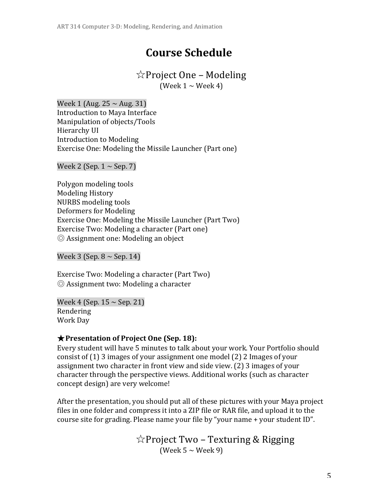# **Course Schedule**

## ☆Project One – Modeling

(Week  $1 \sim$  Week 4)

Week 1 (Aug.  $25 \sim$  Aug. 31) Introduction to Maya Interface Manipulation of objects/Tools Hierarchy UI Introduction to Modeling Exercise One: Modeling the Missile Launcher (Part one)

Week 2 (Sep.  $1 \sim$  Sep. 7)

Polygon modeling tools Modeling History NURBS modeling tools Deformers for Modeling Exercise One: Modeling the Missile Launcher (Part Two) Exercise Two: Modeling a character (Part one)  $\odot$  Assignment one: Modeling an object

Week  $3$  (Sep.  $8 \sim$  Sep. 14)

Exercise Two: Modeling a character (Part Two)  $\circledcirc$  Assignment two: Modeling a character

Week 4 (Sep.  $15 \sim$  Sep. 21) Rendering Work Day

## ★**Presentation of Project One (Sep. 18):**

Every student will have 5 minutes to talk about your work. Your Portfolio should consist of  $(1)$  3 images of your assignment one model  $(2)$  2 Images of your assignment two character in front view and side view.  $(2)$  3 images of your character through the perspective views. Additional works (such as character concept design) are very welcome!

After the presentation, you should put all of these pictures with your Maya project files in one folder and compress it into a ZIP file or RAR file, and upload it to the course site for grading. Please name your file by "your name + your student ID".

> ☆Project Two - Texturing & Rigging (Week  $5 \sim$  Week 9)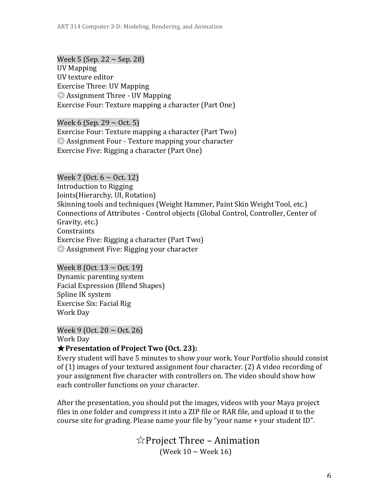Week 5 (Sep. 22  $\sim$  Sep. 28) UV Mapping UV texture editor Exercise Three: UV Mapping  $\odot$  Assignment Three - UV Mapping Exercise Four: Texture mapping a character (Part One)

Week 6 (Sep. 29  $\sim$  Oct. 5) Exercise Four: Texture mapping a character (Part Two)  $\odot$  Assignment Four - Texture mapping your character Exercise Five: Rigging a character (Part One)

Week 7 (Oct.  $6 \sim$  Oct. 12) Introduction to Rigging Joints (Hierarchy, UI, Rotation) Skinning tools and techniques (Weight Hammer, Paint Skin Weight Tool, etc.) Connections of Attributes - Control objects (Global Control, Controller, Center of Gravity, etc.) **Constraints** Exercise Five: Rigging a character (Part Two)  $\odot$  Assignment Five: Rigging your character

Week 8 (Oct.  $13 \sim$  Oct. 19) Dynamic parenting system Facial Expression (Blend Shapes) Spline IK system Exercise Six: Facial Rig Work Day

Week 9 (Oct.  $20 \sim$  Oct. 26) Work Day ★**Presentation of Project Two (Oct. 23):**

Every student will have 5 minutes to show your work. Your Portfolio should consist of  $(1)$  images of your textured assignment four character.  $(2)$  A video recording of your assignment five character with controllers on. The video should show how each controller functions on your character.

After the presentation, you should put the images, videos with your Maya project files in one folder and compress it into a ZIP file or RAR file, and upload it to the course site for grading. Please name your file by "your name + your student ID".

> $\angle$  Project Three – Animation (Week  $10 \sim$  Week  $16$ )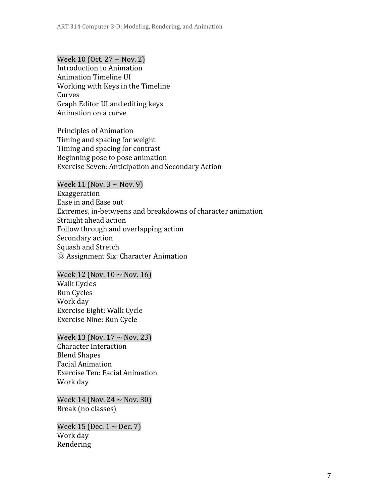Week 10 (Oct.  $27 \sim$  Nov. 2) Introduction to Animation Animation Timeline UI Working with Keys in the Timeline Curves Graph Editor UI and editing keys Animation on a curve

Principles of Animation Timing and spacing for weight Timing and spacing for contrast Beginning pose to pose animation Exercise Seven: Anticipation and Secondary Action

Week 11 (Nov.  $3 \sim$  Nov. 9) Exaggeration Ease in and Ease out Extremes, in-betweens and breakdowns of character animation Straight ahead action Follow through and overlapping action Secondary action Squash and Stretch © Assignment Six: Character Animation

Week 12 (Nov.  $10 \sim$  Nov. 16) Walk Cycles Run Cycles Work day Exercise Eight: Walk Cycle Exercise Nine: Run Cycle

Week 13 (Nov.  $17 \sim$  Nov. 23) Character Interaction Blend Shapes Facial Animation Exercise Ten: Facial Animation Work day

Week 14 (Nov.  $24 \sim$  Nov. 30) Break (no classes)

Week 15 (Dec.  $1 \sim$  Dec. 7) Work day Rendering